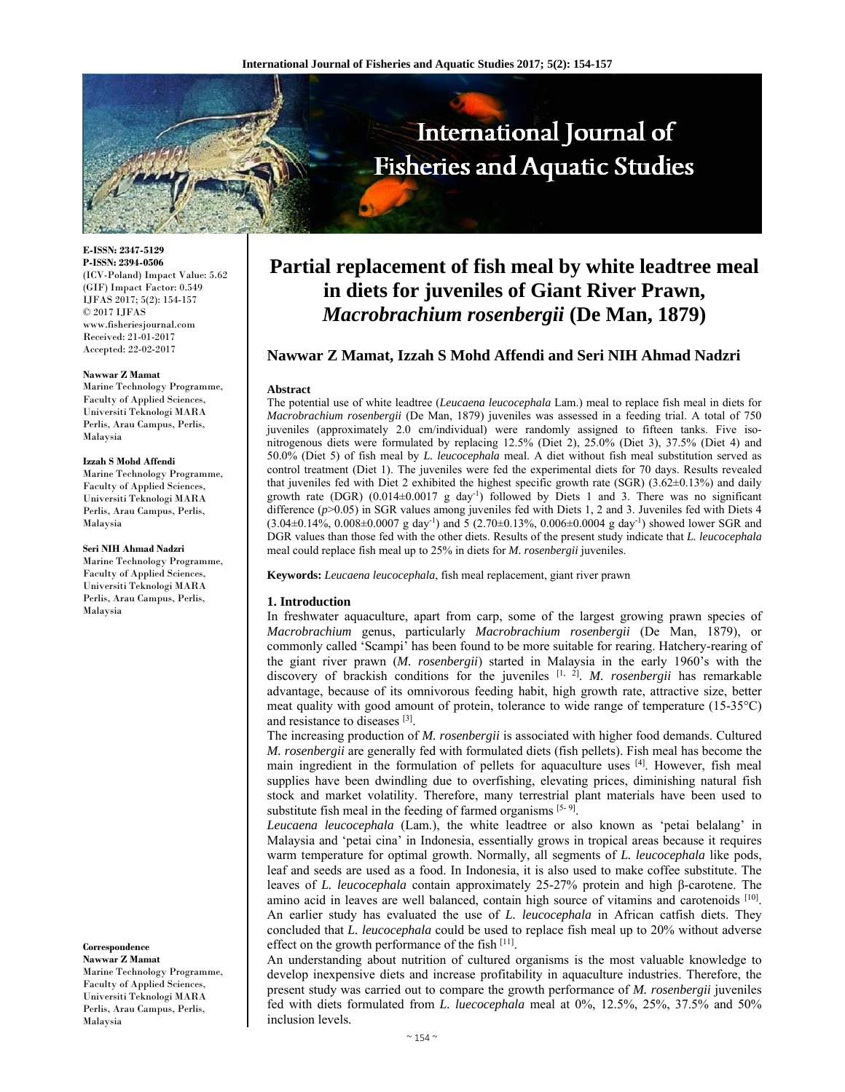

**E-ISSN: 2347-5129 P-ISSN: 2394-0506**  (ICV-Poland) Impact Value: 5.62 (GIF) Impact Factor: 0.549 IJFAS 2017; 5(2): 154-157  $\odot$  2017 IJFAS www.fisheriesjournal.com Received: 21-01-2017 Accepted: 22-02-2017

#### **Nawwar Z Mamat**

Marine Technology Programme, Faculty of Applied Sciences, Universiti Teknologi MARA Perlis, Arau Campus, Perlis, Malaysia

#### **Izzah S Mohd Affendi**

Marine Technology Programme, Faculty of Applied Sciences, Universiti Teknologi MARA Perlis, Arau Campus, Perlis, Malaysia

#### **Seri NIH Ahmad Nadzri**

Marine Technology Programme, Faculty of Applied Sciences, Universiti Teknologi MARA Perlis, Arau Campus, Perlis, Malaysia

**Correspondence** 

**Nawwar Z Mamat**  Marine Technology Programme, Faculty of Applied Sciences, Universiti Teknologi MARA Perlis, Arau Campus, Perlis, Malaysia

# **Partial replacement of fish meal by white leadtree meal in diets for juveniles of Giant River Prawn,**  *Macrobrachium rosenbergii* **(De Man, 1879)**

# **Nawwar Z Mamat, Izzah S Mohd Affendi and Seri NIH Ahmad Nadzri**

#### **Abstract**

The potential use of white leadtree (*Leucaena leucocephala* Lam.) meal to replace fish meal in diets for *Macrobrachium rosenbergii* (De Man, 1879) juveniles was assessed in a feeding trial. A total of 750 juveniles (approximately 2.0 cm/individual) were randomly assigned to fifteen tanks. Five isonitrogenous diets were formulated by replacing 12.5% (Diet 2), 25.0% (Diet 3), 37.5% (Diet 4) and 50.0% (Diet 5) of fish meal by *L. leucocephala* meal. A diet without fish meal substitution served as control treatment (Diet 1). The juveniles were fed the experimental diets for 70 days. Results revealed that juveniles fed with Diet 2 exhibited the highest specific growth rate (SGR) (3.62±0.13%) and daily growth rate (DGR)  $(0.014\pm0.0017 \text{ g day}^{-1})$  followed by Diets 1 and 3. There was no significant difference ( $p$ >0.05) in SGR values among juveniles fed with Diets 1, 2 and 3. Juveniles fed with Diets 4  $(3.04\pm0.14\%, 0.008\pm0.0007 \text{ g day}^{-1})$  and 5  $(2.70\pm0.13\%, 0.006\pm0.0004 \text{ g day}^{-1})$  showed lower SGR and DGR values than those fed with the other diets. Results of the present study indicate that *L. leucocephala* meal could replace fish meal up to 25% in diets for *M. rosenbergii* juveniles.

**Keywords:** *Leucaena leucocephala*, fish meal replacement, giant river prawn

#### **1. Introduction**

In freshwater aquaculture, apart from carp, some of the largest growing prawn species of *Macrobrachium* genus, particularly *Macrobrachium rosenbergii* (De Man, 1879), or commonly called 'Scampi' has been found to be more suitable for rearing. Hatchery-rearing of the giant river prawn (*M. rosenbergii*) started in Malaysia in the early 1960's with the discovery of brackish conditions for the juveniles <sup>[1, 2]</sup>. *M. rosenbergii* has remarkable advantage, because of its omnivorous feeding habit, high growth rate, attractive size, better meat quality with good amount of protein, tolerance to wide range of temperature (15-35°C) and resistance to diseases [3].

The increasing production of *M. rosenbergii* is associated with higher food demands. Cultured *M. rosenbergii* are generally fed with formulated diets (fish pellets). Fish meal has become the main ingredient in the formulation of pellets for aquaculture uses [4]. However, fish meal supplies have been dwindling due to overfishing, elevating prices, diminishing natural fish stock and market volatility. Therefore, many terrestrial plant materials have been used to substitute fish meal in the feeding of farmed organisms  $[5-9]$ .

*Leucaena leucocephala* (Lam.), the white leadtree or also known as 'petai belalang' in Malaysia and 'petai cina' in Indonesia, essentially grows in tropical areas because it requires warm temperature for optimal growth. Normally, all segments of *L. leucocephala* like pods, leaf and seeds are used as a food. In Indonesia, it is also used to make coffee substitute. The leaves of *L. leucocephala* contain approximately 25-27% protein and high β-carotene. The amino acid in leaves are well balanced, contain high source of vitamins and carotenoids [10]. An earlier study has evaluated the use of *L. leucocephala* in African catfish diets. They concluded that *L. leucocephala* could be used to replace fish meal up to 20% without adverse effect on the growth performance of the fish  $[11]$ .

An understanding about nutrition of cultured organisms is the most valuable knowledge to develop inexpensive diets and increase profitability in aquaculture industries. Therefore, the present study was carried out to compare the growth performance of *M. rosenbergii* juveniles fed with diets formulated from *L. luecocephala* meal at 0%, 12.5%, 25%, 37.5% and 50% inclusion levels.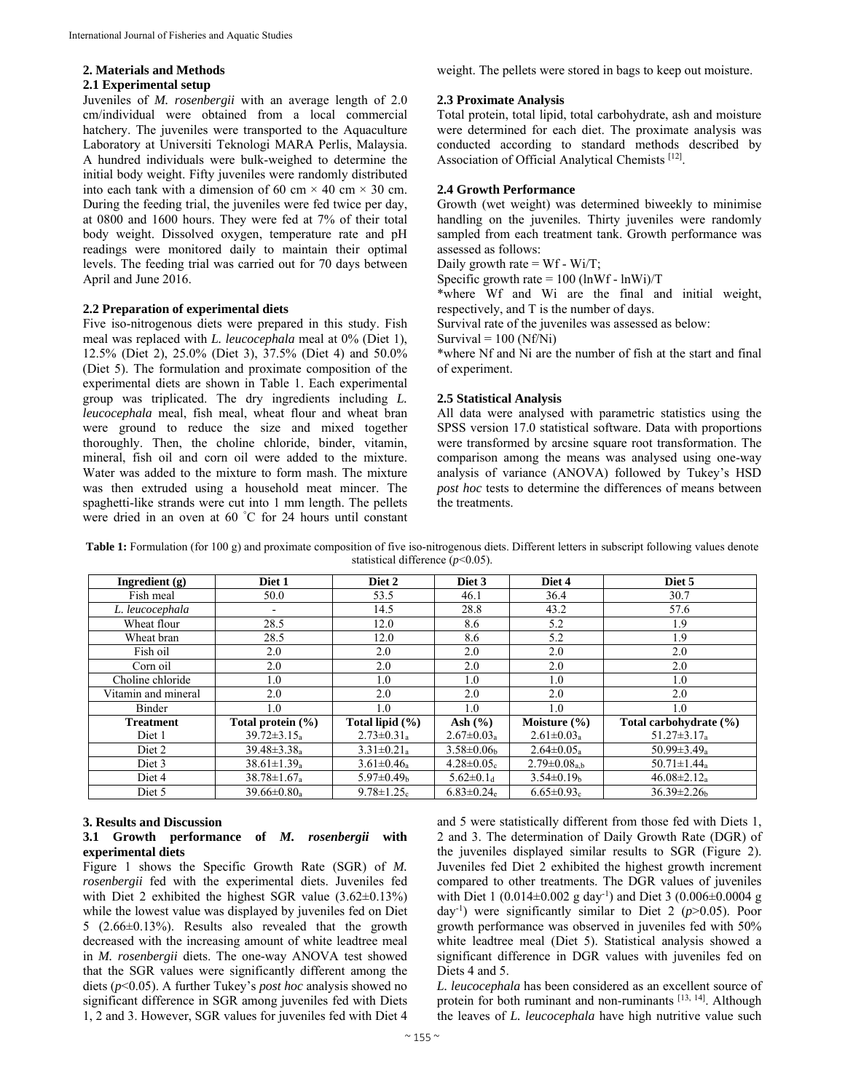# **2. Materials and Methods**

#### **2.1 Experimental setup**

Juveniles of *M. rosenbergii* with an average length of 2.0 cm/individual were obtained from a local commercial hatchery. The juveniles were transported to the Aquaculture Laboratory at Universiti Teknologi MARA Perlis, Malaysia. A hundred individuals were bulk-weighed to determine the initial body weight. Fifty juveniles were randomly distributed into each tank with a dimension of 60 cm  $\times$  40 cm  $\times$  30 cm. During the feeding trial, the juveniles were fed twice per day, at 0800 and 1600 hours. They were fed at 7% of their total body weight. Dissolved oxygen, temperature rate and pH readings were monitored daily to maintain their optimal levels. The feeding trial was carried out for 70 days between April and June 2016.

#### **2.2 Preparation of experimental diets**

Five iso-nitrogenous diets were prepared in this study. Fish meal was replaced with *L. leucocephala* meal at 0% (Diet 1), 12.5% (Diet 2), 25.0% (Diet 3), 37.5% (Diet 4) and 50.0% (Diet 5). The formulation and proximate composition of the experimental diets are shown in Table 1. Each experimental group was triplicated. The dry ingredients including *L. leucocephala* meal, fish meal, wheat flour and wheat bran were ground to reduce the size and mixed together thoroughly. Then, the choline chloride, binder, vitamin, mineral, fish oil and corn oil were added to the mixture. Water was added to the mixture to form mash. The mixture was then extruded using a household meat mincer. The spaghetti-like strands were cut into 1 mm length. The pellets were dried in an oven at 60 ° C for 24 hours until constant weight. The pellets were stored in bags to keep out moisture.

#### **2.3 Proximate Analysis**

Total protein, total lipid, total carbohydrate, ash and moisture were determined for each diet. The proximate analysis was conducted according to standard methods described by Association of Official Analytical Chemists [12].

# **2.4 Growth Performance**

Growth (wet weight) was determined biweekly to minimise handling on the juveniles. Thirty juveniles were randomly sampled from each treatment tank. Growth performance was assessed as follows:

Daily growth rate = Wf - Wi/T;

Specific growth rate =  $100$  (lnWf - lnWi)/T

\*where Wf and Wi are the final and initial weight, respectively, and T is the number of days.

Survival rate of the juveniles was assessed as below:

Survival =  $100$  (Nf/Ni)

\*where Nf and Ni are the number of fish at the start and final of experiment.

# **2.5 Statistical Analysis**

All data were analysed with parametric statistics using the SPSS version 17.0 statistical software. Data with proportions were transformed by arcsine square root transformation. The comparison among the means was analysed using one-way analysis of variance (ANOVA) followed by Tukey's HSD *post hoc* tests to determine the differences of means between the treatments.

**Table 1:** Formulation (for 100 g) and proximate composition of five iso-nitrogenous diets. Different letters in subscript following values denote statistical difference ( $p$ <0.05).

| Ingredient $(g)$    | Diet 1                        | Diet 2                       | Diet 3                       | Diet 4                       | Diet 5                        |
|---------------------|-------------------------------|------------------------------|------------------------------|------------------------------|-------------------------------|
| Fish meal           | 50.0                          | 53.5                         | 46.1                         | 36.4                         | 30.7                          |
| L. leucocephala     | $\overline{\phantom{a}}$      | 14.5                         | 28.8                         | 43.2                         | 57.6                          |
| Wheat flour         | 28.5                          | 12.0                         | 8.6                          | 5.2                          | 1.9                           |
| Wheat bran          | 28.5                          | 12.0                         | 8.6                          | 5.2                          | 1.9                           |
| Fish oil            | 2.0                           | 2.0                          | 2.0                          | 2.0                          | 2.0                           |
| Corn oil            | 2.0                           | 2.0                          | 2.0                          | 2.0                          | 2.0                           |
| Choline chloride    | 1.0                           | 1.0                          | 1.0                          | 1.0                          | 1.0                           |
| Vitamin and mineral | 2.0                           | 2.0                          | 2.0                          | 2.0                          | 2.0                           |
| Binder              | 1.0                           | 1.0                          | 1.0                          | 1.0                          | 1.0                           |
| <b>Treatment</b>    | Total protein $(\% )$         | Total lipid $(\% )$          | Ash $(\% )$                  | Moisture $(\% )$             | Total carbohydrate (%)        |
| Diet 1              | $39.72 \pm 3.15_a$            | $2.73 \pm 0.31_a$            | $2.67 \pm 0.03$ <sub>a</sub> | $2.61 \pm 0.03_a$            | $51.27 \pm 3.17_a$            |
| Diet 2              | $39.48 \pm 3.38$ <sub>a</sub> | $3.31 \pm 0.21$ <sub>a</sub> | $3.58 \pm 0.06$              | $2.64 \pm 0.05$ <sub>a</sub> | $50.99 \pm 3.49$ <sub>a</sub> |
| Diet 3              | $38.61 \pm 1.39$ <sub>a</sub> | $3.61 \pm 0.46$ <sub>a</sub> | $4.28 \pm 0.05c$             | $2.79 \pm 0.08_{a,b}$        | $50.71 \pm 1.44$ <sub>a</sub> |
| Diet 4              | $38.78 \pm 1.67$ <sub>a</sub> | $5.97 \pm 0.49$ <sub>b</sub> | $5.62 \pm 0.1$ d             | $3.54 \pm 0.19$ <sub>b</sub> | $46.08 \pm 2.12$ <sub>a</sub> |
| Diet 5              | $39.66 \pm 0.80$ <sub>a</sub> | $9.78 \pm 1.25$ c            | $6.83 \pm 0.24$ <sub>e</sub> | $6.65 \pm 0.93$ <sub>c</sub> | $36.39 \pm 2.26$              |

# **3. Results and Discussion**

#### **3.1 Growth performance of** *M. rosenbergii* **with experimental diets**

Figure 1 shows the Specific Growth Rate (SGR) of *M. rosenbergii* fed with the experimental diets. Juveniles fed with Diet 2 exhibited the highest SGR value (3.62±0.13%) while the lowest value was displayed by juveniles fed on Diet 5 (2.66±0.13%). Results also revealed that the growth decreased with the increasing amount of white leadtree meal in *M. rosenbergii* diets. The one-way ANOVA test showed that the SGR values were significantly different among the diets (*p*<0.05). A further Tukey's *post hoc* analysis showed no significant difference in SGR among juveniles fed with Diets 1, 2 and 3. However, SGR values for juveniles fed with Diet 4

and 5 were statistically different from those fed with Diets 1, 2 and 3. The determination of Daily Growth Rate (DGR) of the juveniles displayed similar results to SGR (Figure 2). Juveniles fed Diet 2 exhibited the highest growth increment compared to other treatments. The DGR values of juveniles with Diet 1 (0.014±0.002 g day<sup>-1</sup>) and Diet 3 (0.006±0.0004 g day-1) were significantly similar to Diet 2 (*p*>0.05). Poor growth performance was observed in juveniles fed with 50% white leadtree meal (Diet 5). Statistical analysis showed a significant difference in DGR values with juveniles fed on Diets 4 and 5.

*L. leucocephala* has been considered as an excellent source of protein for both ruminant and non-ruminants [13, 14]. Although the leaves of *L. leucocephala* have high nutritive value such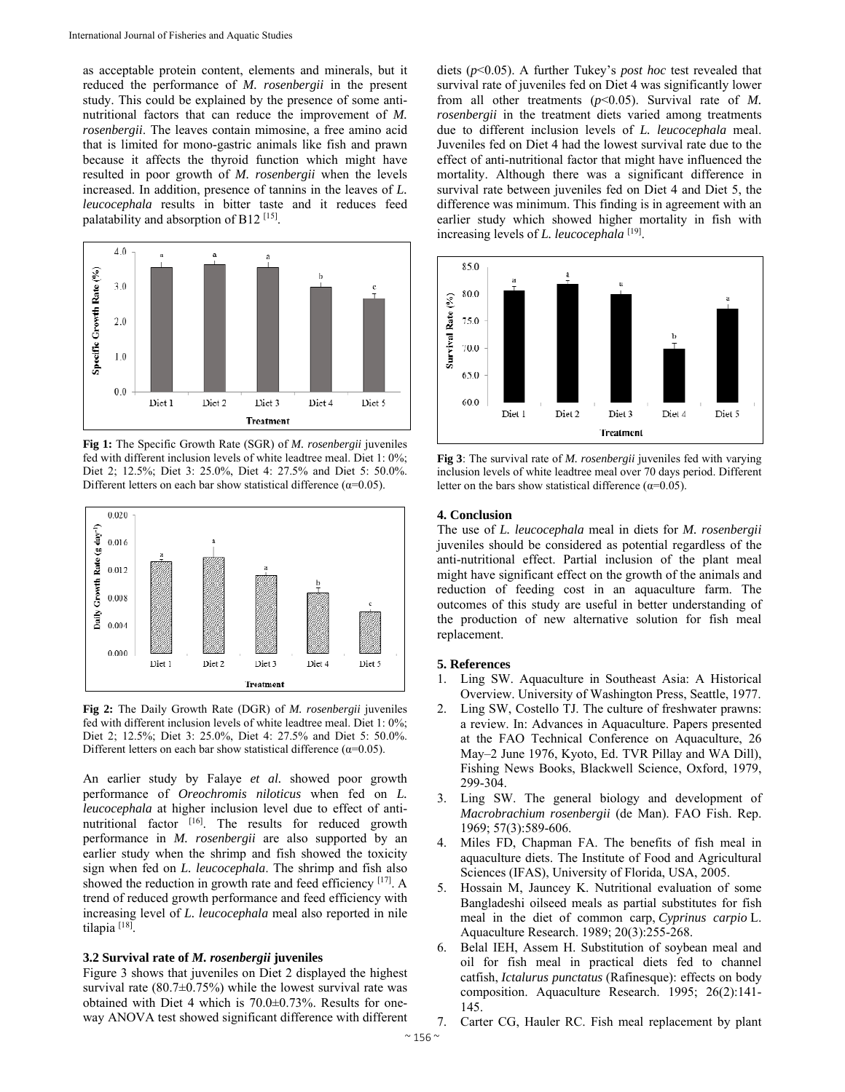as acceptable protein content, elements and minerals, but it reduced the performance of *M. rosenbergii* in the present study. This could be explained by the presence of some antinutritional factors that can reduce the improvement of *M. rosenbergii*. The leaves contain mimosine, a free amino acid that is limited for mono-gastric animals like fish and prawn because it affects the thyroid function which might have resulted in poor growth of *M. rosenbergii* when the levels increased. In addition, presence of tannins in the leaves of *L. leucocephala* results in bitter taste and it reduces feed palatability and absorption of B12 [15].



**Fig 1:** The Specific Growth Rate (SGR) of *M. rosenbergii* juveniles fed with different inclusion levels of white leadtree meal. Diet 1: 0%; Diet 2; 12.5%; Diet 3: 25.0%, Diet 4: 27.5% and Diet 5: 50.0%. Different letters on each bar show statistical difference ( $\alpha$ =0.05).



**Fig 2:** The Daily Growth Rate (DGR) of *M. rosenbergii* juveniles fed with different inclusion levels of white leadtree meal. Diet 1: 0%; Diet 2; 12.5%; Diet 3: 25.0%, Diet 4: 27.5% and Diet 5: 50.0%. Different letters on each bar show statistical difference ( $\alpha$ =0.05).

An earlier study by Falaye *et al.* showed poor growth performance of *Oreochromis niloticus* when fed on *L. leucocephala* at higher inclusion level due to effect of antinutritional factor [16]. The results for reduced growth performance in *M. rosenbergii* are also supported by an earlier study when the shrimp and fish showed the toxicity sign when fed on *L. leucocephala*. The shrimp and fish also showed the reduction in growth rate and feed efficiency [17]. A trend of reduced growth performance and feed efficiency with increasing level of *L. leucocephala* meal also reported in nile tilapia [18].

#### **3.2 Survival rate of** *M. rosenbergii* **juveniles**

Figure 3 shows that juveniles on Diet 2 displayed the highest survival rate  $(80.7\pm0.75\%)$  while the lowest survival rate was obtained with Diet 4 which is 70.0±0.73%. Results for oneway ANOVA test showed significant difference with different diets (*p*<0.05). A further Tukey's *post hoc* test revealed that survival rate of juveniles fed on Diet 4 was significantly lower from all other treatments (*p*<0.05). Survival rate of *M. rosenbergii* in the treatment diets varied among treatments due to different inclusion levels of *L. leucocephala* meal. Juveniles fed on Diet 4 had the lowest survival rate due to the effect of anti-nutritional factor that might have influenced the mortality. Although there was a significant difference in survival rate between juveniles fed on Diet 4 and Diet 5, the difference was minimum. This finding is in agreement with an earlier study which showed higher mortality in fish with increasing levels of *L. leucocephala* [19].



**Fig 3**: The survival rate of *M. rosenbergii* juveniles fed with varying inclusion levels of white leadtree meal over 70 days period. Different letter on the bars show statistical difference ( $\alpha$ =0.05).

#### **4. Conclusion**

The use of *L. leucocephala* meal in diets for *M. rosenbergii* juveniles should be considered as potential regardless of the anti-nutritional effect. Partial inclusion of the plant meal might have significant effect on the growth of the animals and reduction of feeding cost in an aquaculture farm. The outcomes of this study are useful in better understanding of the production of new alternative solution for fish meal replacement.

#### **5. References**

- 1. Ling SW. Aquaculture in Southeast Asia: A Historical Overview. University of Washington Press, Seattle, 1977.
- Ling SW, Costello TJ. The culture of freshwater prawns: a review. In: Advances in Aquaculture. Papers presented at the FAO Technical Conference on Aquaculture, 26 May–2 June 1976, Kyoto, Ed. TVR Pillay and WA Dill), Fishing News Books, Blackwell Science, Oxford, 1979, 299-304.
- 3. Ling SW. The general biology and development of *Macrobrachium rosenbergii* (de Man). FAO Fish. Rep. 1969; 57(3):589-606.
- Miles FD, Chapman FA. The benefits of fish meal in aquaculture diets. The Institute of Food and Agricultural Sciences (IFAS), University of Florida, USA, 2005.
- 5. Hossain M, Jauncey K. Nutritional evaluation of some Bangladeshi oilseed meals as partial substitutes for fish meal in the diet of common carp, *Cyprinus carpio* L. Aquaculture Research. 1989; 20(3):255-268.
- 6. Belal IEH, Assem H. Substitution of soybean meal and oil for fish meal in practical diets fed to channel catfish, *Ictalurus punctatus* (Rafinesque): effects on body composition. Aquaculture Research. 1995; 26(2):141- 145.
- 7. Carter CG, Hauler RC. Fish meal replacement by plant